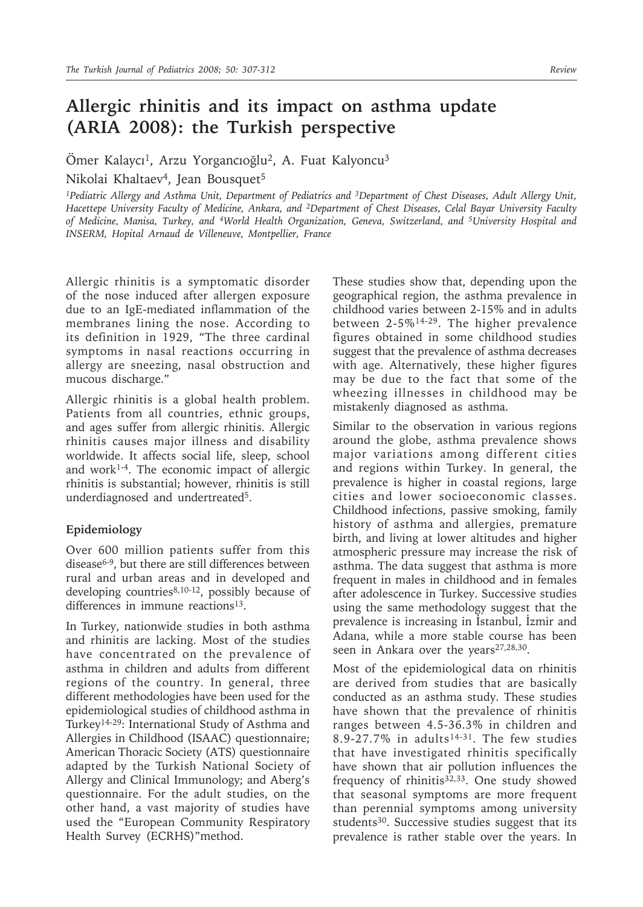## **Allergic rhinitis and its impact on asthma update (ARIA 2008): the Turkish perspective**

Ömer Kalaycı<sup>1</sup>, Arzu Yorgancıoğlu<sup>2</sup>, A. Fuat Kalyoncu<sup>3</sup>

Nikolai Khaltaev<sup>4</sup>, Jean Bousquet<sup>5</sup>

*1Pediatric Allergy and Asthma Unit, Department of Pediatrics and 3Department of Chest Diseases, Adult Allergy Unit, Hacettepe University Faculty of Medicine, Ankara, and 2Department of Chest Diseases, Celal Bayar University Faculty of Medicine, Manisa, Turkey, and 4World Health Organization, Geneva, Switzerland, and 5University Hospital and INSERM, Hopital Arnaud de Villeneuve, Montpellier, France*

Allergic rhinitis is a symptomatic disorder of the nose induced after allergen exposure due to an IgE-mediated inflammation of the membranes lining the nose. According to its definition in 1929, "The three cardinal symptoms in nasal reactions occurring in allergy are sneezing, nasal obstruction and mucous discharge."

Allergic rhinitis is a global health problem. Patients from all countries, ethnic groups, and ages suffer from allergic rhinitis. Allergic rhinitis causes major illness and disability worldwide. It affects social life, sleep, school and work1-4. The economic impact of allergic rhinitis is substantial; however, rhinitis is still underdiagnosed and undertreated5.

## **Epidemiology**

Over 600 million patients suffer from this disease6-9, but there are still differences between rural and urban areas and in developed and developing countries $8,10-12$ , possibly because of differences in immune reactions<sup>13</sup>.

In Turkey, nationwide studies in both asthma and rhinitis are lacking. Most of the studies have concentrated on the prevalence of asthma in children and adults from different regions of the country. In general, three different methodologies have been used for the epidemiological studies of childhood asthma in Turkey14-29: International Study of Asthma and Allergies in Childhood (ISAAC) questionnaire; American Thoracic Society (ATS) questionnaire adapted by the Turkish National Society of Allergy and Clinical Immunology; and Aberg's questionnaire. For the adult studies, on the other hand, a vast majority of studies have used the "European Community Respiratory Health Survey (ECRHS)"method.

These studies show that, depending upon the geographical region, the asthma prevalence in childhood varies between 2-15% and in adults between 2-5%14-29. The higher prevalence figures obtained in some childhood studies suggest that the prevalence of asthma decreases with age. Alternatively, these higher figures may be due to the fact that some of the wheezing illnesses in childhood may be mistakenly diagnosed as asthma.

Similar to the observation in various regions around the globe, asthma prevalence shows major variations among different cities and regions within Turkey. In general, the prevalence is higher in coastal regions, large cities and lower socioeconomic classes. Childhood infections, passive smoking, family history of asthma and allergies, premature birth, and living at lower altitudes and higher atmospheric pressure may increase the risk of asthma. The data suggest that asthma is more frequent in males in childhood and in females after adolescence in Turkey. Successive studies using the same methodology suggest that the prevalence is increasing in İstanbul, İzmir and Adana, while a more stable course has been seen in Ankara over the years<sup>27,28,30</sup>.

Most of the epidemiological data on rhinitis are derived from studies that are basically conducted as an asthma study. These studies have shown that the prevalence of rhinitis ranges between 4.5-36.3% in children and 8.9-27.7% in adults<sup>14-31</sup>. The few studies that have investigated rhinitis specifically have shown that air pollution influences the frequency of rhinitis<sup>32,33</sup>. One study showed that seasonal symptoms are more frequent than perennial symptoms among university students<sup>30</sup>. Successive studies suggest that its prevalence is rather stable over the years. In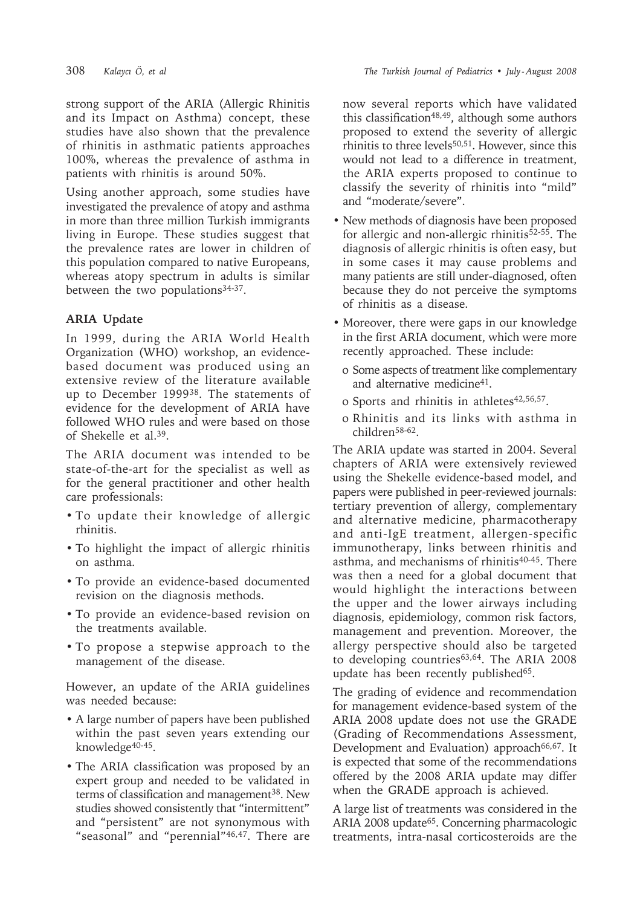strong support of the ARIA (Allergic Rhinitis and its Impact on Asthma) concept, these studies have also shown that the prevalence of rhinitis in asthmatic patients approaches 100%, whereas the prevalence of asthma in patients with rhinitis is around 50%.

Using another approach, some studies have investigated the prevalence of atopy and asthma in more than three million Turkish immigrants living in Europe. These studies suggest that the prevalence rates are lower in children of this population compared to native Europeans, whereas atopy spectrum in adults is similar between the two populations<sup>34-37</sup>.

## **ARIA Update**

In 1999, during the ARIA World Health Organization (WHO) workshop, an evidencebased document was produced using an extensive review of the literature available up to December 199938. The statements of evidence for the development of ARIA have followed WHO rules and were based on those of Shekelle et al.39.

The ARIA document was intended to be state-of-the-art for the specialist as well as for the general practitioner and other health care professionals:

- To update their knowledge of allergic rhinitis.
- To highlight the impact of allergic rhinitis on asthma.
- To provide an evidence-based documented revision on the diagnosis methods.
- To provide an evidence-based revision on the treatments available.
- To propose a stepwise approach to the management of the disease.

However, an update of the ARIA guidelines was needed because:

- A large number of papers have been published within the past seven years extending our knowledge40-45.
- The ARIA classification was proposed by an expert group and needed to be validated in terms of classification and management<sup>38</sup>. New studies showed consistently that "intermittent" and "persistent" are not synonymous with "seasonal" and "perennial"<sup>46,47</sup>. There are

now several reports which have validated this classification<sup>48,49</sup>, although some authors proposed to extend the severity of allergic rhinitis to three levels<sup>50,51</sup>. However, since this would not lead to a difference in treatment, the ARIA experts proposed to continue to classify the severity of rhinitis into "mild" and "moderate/severe".

- New methods of diagnosis have been proposed for allergic and non-allergic rhinitis52-55. The diagnosis of allergic rhinitis is often easy, but in some cases it may cause problems and many patients are still under-diagnosed, often because they do not perceive the symptoms of rhinitis as a disease.
- Moreover, there were gaps in our knowledge in the first ARIA document, which were more recently approached. These include:
	- o Some aspects of treatment like complementary and alternative medicine41.
	- o Sports and rhinitis in athletes<sup>42,56,57</sup>.
	- o Rhinitis and its links with asthma in children58-62.

The ARIA update was started in 2004. Several chapters of ARIA were extensively reviewed using the Shekelle evidence-based model, and papers were published in peer-reviewed journals: tertiary prevention of allergy, complementary and alternative medicine, pharmacotherapy and anti-IgE treatment, allergen-specific immunotherapy, links between rhinitis and asthma, and mechanisms of rhinitis<sup>40-45</sup>. There was then a need for a global document that would highlight the interactions between the upper and the lower airways including diagnosis, epidemiology, common risk factors, management and prevention. Moreover, the allergy perspective should also be targeted to developing countries<sup>63,64</sup>. The ARIA 2008 update has been recently published<sup>65</sup>.

The grading of evidence and recommendation for management evidence-based system of the ARIA 2008 update does not use the GRADE (Grading of Recommendations Assessment, Development and Evaluation) approach<sup>66,67</sup>. It is expected that some of the recommendations offered by the 2008 ARIA update may differ when the GRADE approach is achieved.

A large list of treatments was considered in the ARIA 2008 update65. Concerning pharmacologic treatments, intra-nasal corticosteroids are the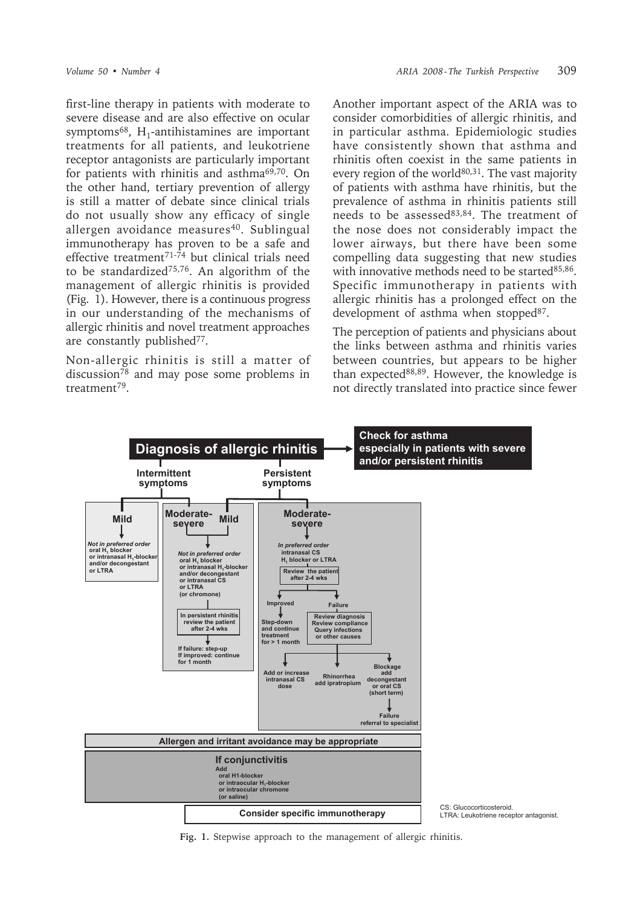first-line therapy in patients with moderate to severe disease and are also effective on ocular symptoms $68$ , H<sub>1</sub>-antihistamines are important treatments for all patients, and leukotriene receptor antagonists are particularly important for patients with rhinitis and asthma69,70. On the other hand, tertiary prevention of allergy is still a matter of debate since clinical trials do not usually show any efficacy of single allergen avoidance measures<sup>40</sup>. Sublingual immunotherapy has proven to be a safe and effective treatment71-74 but clinical trials need to be standardized75,76. An algorithm of the management of allergic rhinitis is provided (Fig. 1). However, there is a continuous progress in our understanding of the mechanisms of allergic rhinitis and novel treatment approaches are constantly published<sup>77</sup>.

Non-allergic rhinitis is still a matter of discussion $^{78}$  and may pose some problems in treatment79.

Another important aspect of the ARIA was to consider comorbidities of allergic rhinitis, and in particular asthma. Epidemiologic studies have consistently shown that asthma and rhinitis often coexist in the same patients in every region of the world<sup>80,31</sup>. The vast majority of patients with asthma have rhinitis, but the prevalence of asthma in rhinitis patients still needs to be assessed83,84. The treatment of the nose does not considerably impact the lower airways, but there have been some compelling data suggesting that new studies with innovative methods need to be started<sup>85,86</sup>. Specific immunotherapy in patients with allergic rhinitis has a prolonged effect on the development of asthma when stopped<sup>87</sup>.

The perception of patients and physicians about the links between asthma and rhinitis varies between countries, but appears to be higher than expected88,89. However, the knowledge is not directly translated into practice since fewer



**Fig. 1.** Stepwise approach to the management of allergic rhinitis.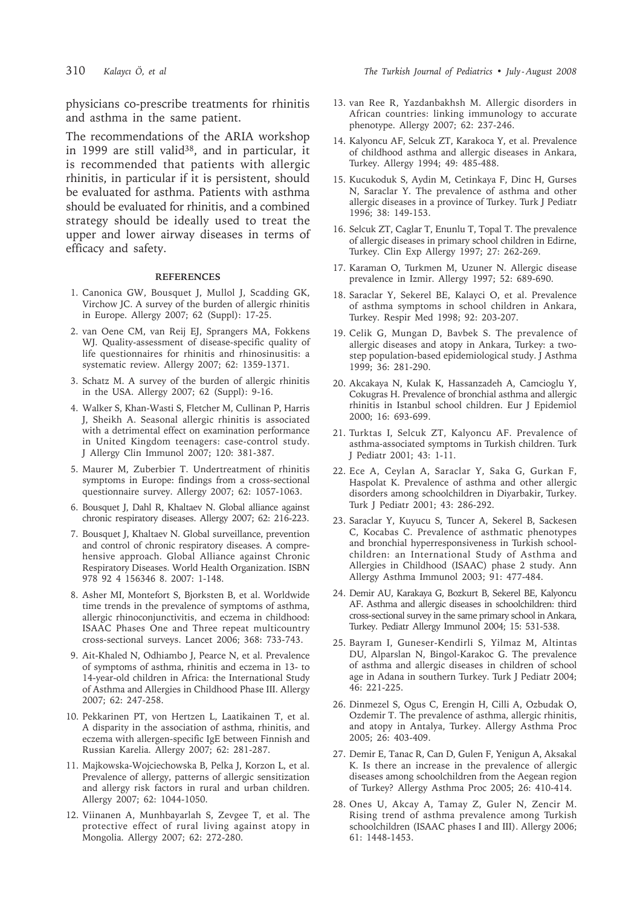physicians co-prescribe treatments for rhinitis and asthma in the same patient.

The recommendations of the ARIA workshop in 1999 are still valid<sup>38</sup>, and in particular, it is recommended that patients with allergic rhinitis, in particular if it is persistent, should be evaluated for asthma. Patients with asthma should be evaluated for rhinitis, and a combined strategy should be ideally used to treat the upper and lower airway diseases in terms of efficacy and safety.

## **REFERENCES**

- 1. Canonica GW, Bousquet J, Mullol J, Scadding GK, Virchow JC. A survey of the burden of allergic rhinitis in Europe. Allergy 2007; 62 (Suppl): 17-25.
- 2. van Oene CM, van Reij EJ, Sprangers MA, Fokkens WJ. Quality-assessment of disease-specific quality of life questionnaires for rhinitis and rhinosinusitis: a systematic review. Allergy 2007; 62: 1359-1371.
- 3. Schatz M. A survey of the burden of allergic rhinitis in the USA. Allergy 2007; 62 (Suppl): 9-16.
- 4. Walker S, Khan-Wasti S, Fletcher M, Cullinan P, Harris J, Sheikh A. Seasonal allergic rhinitis is associated with a detrimental effect on examination performance in United Kingdom teenagers: case-control study. J Allergy Clin Immunol 2007; 120: 381-387.
- 5. Maurer M, Zuberbier T. Undertreatment of rhinitis symptoms in Europe: findings from a cross-sectional questionnaire survey. Allergy 2007; 62: 1057-1063.
- 6. Bousquet J, Dahl R, Khaltaev N. Global alliance against chronic respiratory diseases. Allergy 2007; 62: 216-223.
- 7. Bousquet J, Khaltaev N. Global surveillance, prevention and control of chronic respiratory diseases. A comprehensive approach. Global Alliance against Chronic Respiratory Diseases. World Health Organization. ISBN 978 92 4 156346 8. 2007: 1-148.
- 8. Asher MI, Montefort S, Bjorksten B, et al. Worldwide time trends in the prevalence of symptoms of asthma, allergic rhinoconjunctivitis, and eczema in childhood: ISAAC Phases One and Three repeat multicountry cross-sectional surveys. Lancet 2006; 368: 733-743.
- 9. Ait-Khaled N, Odhiambo J, Pearce N, et al. Prevalence of symptoms of asthma, rhinitis and eczema in 13- to 14-year-old children in Africa: the International Study of Asthma and Allergies in Childhood Phase III. Allergy 2007; 62: 247-258.
- 10. Pekkarinen PT, von Hertzen L, Laatikainen T, et al. A disparity in the association of asthma, rhinitis, and eczema with allergen-specific IgE between Finnish and Russian Karelia. Allergy 2007; 62: 281-287.
- 11. Majkowska-Wojciechowska B, Pelka J, Korzon L, et al. Prevalence of allergy, patterns of allergic sensitization and allergy risk factors in rural and urban children. Allergy 2007; 62: 1044-1050.
- 12. Viinanen A, Munhbayarlah S, Zevgee T, et al. The protective effect of rural living against atopy in Mongolia. Allergy 2007; 62: 272-280.
- 13. van Ree R, Yazdanbakhsh M. Allergic disorders in African countries: linking immunology to accurate phenotype. Allergy 2007; 62: 237-246.
- 14. Kalyoncu AF, Selcuk ZT, Karakoca Y, et al. Prevalence of childhood asthma and allergic diseases in Ankara, Turkey. Allergy 1994; 49: 485-488.
- 15. Kucukoduk S, Aydin M, Cetinkaya F, Dinc H, Gurses N, Saraclar Y. The prevalence of asthma and other allergic diseases in a province of Turkey. Turk J Pediatr 1996; 38: 149-153.
- 16. Selcuk ZT, Caglar T, Enunlu T, Topal T. The prevalence of allergic diseases in primary school children in Edirne, Turkey. Clin Exp Allergy 1997; 27: 262-269.
- 17. Karaman O, Turkmen M, Uzuner N. Allergic disease prevalence in Izmir. Allergy 1997; 52: 689-690.
- 18. Saraclar Y, Sekerel BE, Kalayci O, et al. Prevalence of asthma symptoms in school children in Ankara, Turkey. Respir Med 1998; 92: 203-207.
- 19. Celik G, Mungan D, Bavbek S. The prevalence of allergic diseases and atopy in Ankara, Turkey: a twostep population-based epidemiological study. J Asthma 1999; 36: 281-290.
- 20. Akcakaya N, Kulak K, Hassanzadeh A, Camcioglu Y, Cokugras H. Prevalence of bronchial asthma and allergic rhinitis in Istanbul school children. Eur J Epidemiol 2000; 16: 693-699.
- 21. Turktas I, Selcuk ZT, Kalyoncu AF. Prevalence of asthma-associated symptoms in Turkish children. Turk J Pediatr 2001; 43: 1-11.
- 22. Ece A, Ceylan A, Saraclar Y, Saka G, Gurkan F, Haspolat K. Prevalence of asthma and other allergic disorders among schoolchildren in Diyarbakir, Turkey. Turk J Pediatr 2001; 43: 286-292.
- 23. Saraclar Y, Kuyucu S, Tuncer A, Sekerel B, Sackesen C, Kocabas C. Prevalence of asthmatic phenotypes and bronchial hyperresponsiveness in Turkish schoolchildren: an International Study of Asthma and Allergies in Childhood (ISAAC) phase 2 study. Ann Allergy Asthma Immunol 2003; 91: 477-484.
- 24. Demir AU, Karakaya G, Bozkurt B, Sekerel BE, Kalyoncu AF. Asthma and allergic diseases in schoolchildren: third cross-sectional survey in the same primary school in Ankara, Turkey. Pediatr Allergy Immunol 2004; 15: 531-538.
- 25. Bayram I, Guneser-Kendirli S, Yilmaz M, Altintas DU, Alparslan N, Bingol-Karakoc G. The prevalence of asthma and allergic diseases in children of school age in Adana in southern Turkey. Turk J Pediatr 2004; 46: 221-225.
- 26. Dinmezel S, Ogus C, Erengin H, Cilli A, Ozbudak O, Ozdemir T. The prevalence of asthma, allergic rhinitis, and atopy in Antalya, Turkey. Allergy Asthma Proc 2005; 26: 403-409.
- 27. Demir E, Tanac R, Can D, Gulen F, Yenigun A, Aksakal K. Is there an increase in the prevalence of allergic diseases among schoolchildren from the Aegean region of Turkey? Allergy Asthma Proc 2005; 26: 410-414.
- 28. Ones U, Akcay A, Tamay Z, Guler N, Zencir M. Rising trend of asthma prevalence among Turkish schoolchildren (ISAAC phases I and III). Allergy 2006; 61: 1448-1453.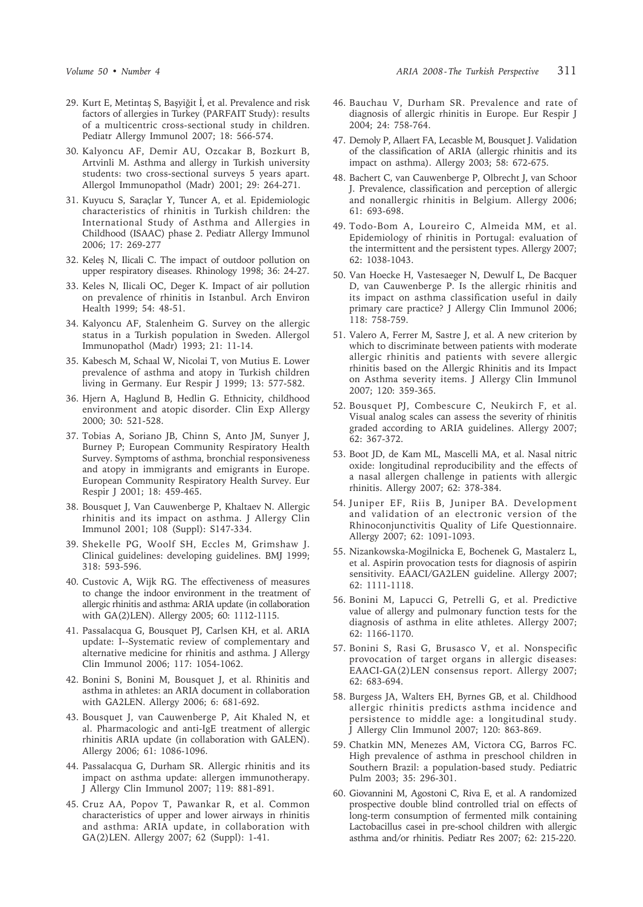- 29. Kurt E, Metintaş S, Başyiğit İ, et al. Prevalence and risk factors of allergies in Turkey (PARFAIT Study): results of a multicentric cross-sectional study in children. Pediatr Allergy Immunol 2007; 18: 566-574.
- 30. Kalyoncu AF, Demir AU, Ozcakar B, Bozkurt B, Artvinli M. Asthma and allergy in Turkish university students: two cross-sectional surveys 5 years apart. Allergol Immunopathol (Madr) 2001; 29: 264-271.
- 31. Kuyucu S, Saraçlar Y, Tuncer A, et al. Epidemiologic characteristics of rhinitis in Turkish children: the International Study of Asthma and Allergies in Childhood (ISAAC) phase 2. Pediatr Allergy Immunol 2006; 17: 269-277
- 32. Keleş N, Ilicali C. The impact of outdoor pollution on upper respiratory diseases. Rhinology 1998; 36: 24-27.
- 33. Keles N, Ilicali OC, Deger K. Impact of air pollution on prevalence of rhinitis in Istanbul. Arch Environ Health 1999; 54: 48-51.
- 34. Kalyoncu AF, Stalenheim G. Survey on the allergic status in a Turkish population in Sweden. Allergol Immunopathol (Madr) 1993; 21: 11-14.
- 35. Kabesch M, Schaal W, Nicolai T, von Mutius E. Lower prevalence of asthma and atopy in Turkish children living in Germany. Eur Respir J 1999; 13: 577-582.
- 36. Hjern A, Haglund B, Hedlin G. Ethnicity, childhood environment and atopic disorder. Clin Exp Allergy 2000; 30: 521-528.
- 37. Tobias A, Soriano JB, Chinn S, Anto JM, Sunyer J, Burney P; European Community Respiratory Health Survey. Symptoms of asthma, bronchial responsiveness and atopy in immigrants and emigrants in Europe. European Community Respiratory Health Survey. Eur Respir J 2001; 18: 459-465.
- 38. Bousquet J, Van Cauwenberge P, Khaltaev N. Allergic rhinitis and its impact on asthma. J Allergy Clin Immunol 2001; 108 (Suppl): S147-334.
- 39. Shekelle PG, Woolf SH, Eccles M, Grimshaw J. Clinical guidelines: developing guidelines. BMJ 1999; 318: 593-596.
- 40. Custovic A, Wijk RG. The effectiveness of measures to change the indoor environment in the treatment of allergic rhinitis and asthma: ARIA update (in collaboration with GA(2)LEN). Allergy 2005; 60: 1112-1115.
- 41. Passalacqua G, Bousquet PJ, Carlsen KH, et al. ARIA update: I--Systematic review of complementary and alternative medicine for rhinitis and asthma. J Allergy Clin Immunol 2006; 117: 1054-1062.
- 42. Bonini S, Bonini M, Bousquet J, et al. Rhinitis and asthma in athletes: an ARIA document in collaboration with GA2LEN. Allergy 2006; 6: 681-692.
- 43. Bousquet J, van Cauwenberge P, Ait Khaled N, et al. Pharmacologic and anti-IgE treatment of allergic rhinitis ARIA update (in collaboration with GALEN). Allergy 2006; 61: 1086-1096.
- 44. Passalacqua G, Durham SR. Allergic rhinitis and its impact on asthma update: allergen immunotherapy. J Allergy Clin Immunol 2007; 119: 881-891.
- 45. Cruz AA, Popov T, Pawankar R, et al. Common characteristics of upper and lower airways in rhinitis and asthma: ARIA update, in collaboration with GA(2)LEN. Allergy 2007; 62 (Suppl): 1-41.
- 46. Bauchau V, Durham SR. Prevalence and rate of diagnosis of allergic rhinitis in Europe. Eur Respir J 2004; 24: 758-764.
- 47. Demoly P, Allaert FA, Lecasble M, Bousquet J. Validation of the classification of ARIA (allergic rhinitis and its impact on asthma). Allergy 2003; 58: 672-675.
- 48. Bachert C, van Cauwenberge P, Olbrecht J, van Schoor J. Prevalence, classification and perception of allergic and nonallergic rhinitis in Belgium. Allergy 2006; 61: 693-698.
- 49. Todo-Bom A, Loureiro C, Almeida MM, et al. Epidemiology of rhinitis in Portugal: evaluation of the intermittent and the persistent types. Allergy 2007; 62: 1038-1043.
- 50. Van Hoecke H, Vastesaeger N, Dewulf L, De Bacquer D, van Cauwenberge P. Is the allergic rhinitis and its impact on asthma classification useful in daily primary care practice? J Allergy Clin Immunol 2006; 118: 758-759.
- 51. Valero A, Ferrer M, Sastre J, et al. A new criterion by which to discriminate between patients with moderate allergic rhinitis and patients with severe allergic rhinitis based on the Allergic Rhinitis and its Impact on Asthma severity items. J Allergy Clin Immunol 2007; 120: 359-365.
- 52. Bousquet PJ, Combescure C, Neukirch F, et al. Visual analog scales can assess the severity of rhinitis graded according to ARIA guidelines. Allergy 2007; 62: 367-372.
- 53. Boot JD, de Kam ML, Mascelli MA, et al. Nasal nitric oxide: longitudinal reproducibility and the effects of a nasal allergen challenge in patients with allergic rhinitis. Allergy 2007; 62: 378-384.
- 54. Juniper EF, Riis B, Juniper BA. Development and validation of an electronic version of the Rhinoconjunctivitis Quality of Life Questionnaire. Allergy 2007; 62: 1091-1093.
- 55. Nizankowska-Mogilnicka E, Bochenek G, Mastalerz L, et al. Aspirin provocation tests for diagnosis of aspirin sensitivity. EAACI/GA2LEN guideline. Allergy 2007; 62: 1111-1118.
- 56. Bonini M, Lapucci G, Petrelli G, et al. Predictive value of allergy and pulmonary function tests for the diagnosis of asthma in elite athletes. Allergy 2007; 62: 1166-1170.
- 57. Bonini S, Rasi G, Brusasco V, et al. Nonspecific provocation of target organs in allergic diseases: EAACI-GA(2)LEN consensus report. Allergy 2007; 62: 683-694.
- 58. Burgess JA, Walters EH, Byrnes GB, et al. Childhood allergic rhinitis predicts asthma incidence and persistence to middle age: a longitudinal study. J Allergy Clin Immunol 2007; 120: 863-869.
- 59. Chatkin MN, Menezes AM, Victora CG, Barros FC. High prevalence of asthma in preschool children in Southern Brazil: a population-based study. Pediatric Pulm 2003; 35: 296-301.
- 60. Giovannini M, Agostoni C, Riva E, et al. A randomized prospective double blind controlled trial on effects of long-term consumption of fermented milk containing Lactobacillus casei in pre-school children with allergic asthma and/or rhinitis. Pediatr Res 2007; 62: 215-220.